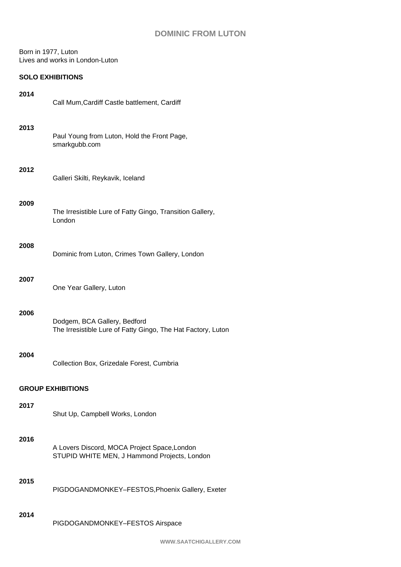# **DOMINIC FROM LUTON**

#### Born in 1977, Luton Lives and works in London-Luton

## **SOLO EXHIBITIONS**

| 2014                     | Call Mum, Cardiff Castle battlement, Cardiff                                                 |  |
|--------------------------|----------------------------------------------------------------------------------------------|--|
| 2013                     | Paul Young from Luton, Hold the Front Page,<br>smarkgubb.com                                 |  |
| 2012                     | Galleri Skilti, Reykavik, Iceland                                                            |  |
| 2009                     | The Irresistible Lure of Fatty Gingo, Transition Gallery,<br>London                          |  |
| 2008                     | Dominic from Luton, Crimes Town Gallery, London                                              |  |
| 2007                     | One Year Gallery, Luton                                                                      |  |
| 2006                     | Dodgem, BCA Gallery, Bedford<br>The Irresistible Lure of Fatty Gingo, The Hat Factory, Luton |  |
| 2004                     | Collection Box, Grizedale Forest, Cumbria                                                    |  |
| <b>GROUP EXHIBITIONS</b> |                                                                                              |  |
| 2017                     | Shut Up, Campbell Works, London                                                              |  |
| 2016                     | A Lovers Discord, MOCA Project Space, London<br>STUPID WHITE MEN, J Hammond Projects, London |  |
| 2015                     | PIGDOGANDMONKEY-FESTOS, Phoenix Gallery, Exeter                                              |  |
| 2014                     | PIGDOGANDMONKEY-FESTOS Airspace                                                              |  |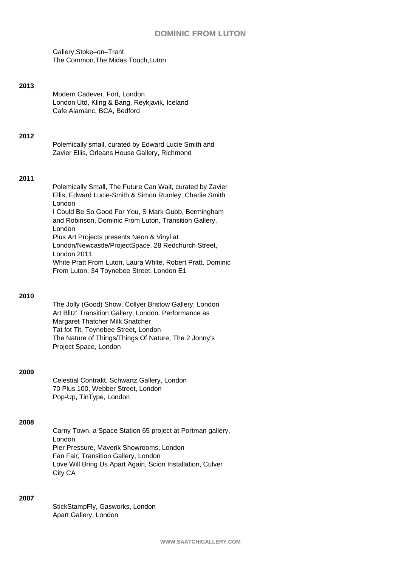## **DOMINIC FROM LUTON**

Gallery,Stoke–on–Trent The Common,The Midas Touch,Luton

#### **2013**

| Modern Cadever, Fort, London                 |
|----------------------------------------------|
| London Utd, Kling & Bang, Reykjavik, Iceland |
| Cafe Alamanc, BCA, Bedford                   |

**2012**

| Polemically small, curated by Edward Lucie Smith and |
|------------------------------------------------------|
| Zavier Ellis, Orleans House Gallery, Richmond        |

#### **2011**

Polemically Small, The Future Can Wait, curated by Zavier Ellis, Edward Lucie-Smith & Simon Rumley, Charlie Smith London I Could Be So Good For You, S Mark Gubb, Bermingham and Robinson, Dominic From Luton, Transition Gallery, London Plus Art Projects presents Neon & Vinyl at London/Newcastle/ProjectSpace, 28 Redchurch Street, London 2011 White Pratt From Luton, Laura White, Robert Pratt, Dominic From Luton, 34 Toynebee Street, London E1

#### **2010**

The Jolly (Good) Show, Collyer Bristow Gallery, London Art Blitz' Transition Gallery, London. Performance as Margaret Thatcher Milk Snatcher Tat fot Tit, Toynebee Street, London The Nature of Things/Things Of Nature, The 2 Jonny's Project Space, London

### **2009**

Celestial Contrakt, Schwartz Gallery, London 70 Plus 100, Webber Street, London Pop-Up, TinType, London

#### **2008**

Carny Town, a Space Station 65 project at Portman gallery, London Pier Pressure, Maverik Showrooms, London Fan Fair, Transition Gallery, London Love Will Bring Us Apart Again, Scion Installation, Culver City CA

### **2007**

StickStampFly, Gasworks, London Apart Gallery, London